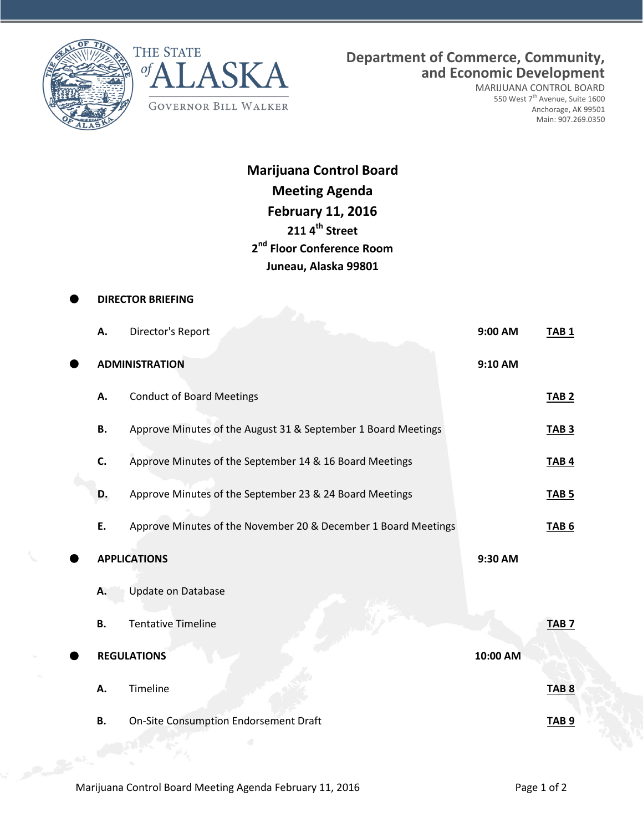



**Department of Commerce, Community, and Economic Development**

MARIJUANA CONTROL BOARD 550 West 7<sup>th</sup> Avenue, Suite 1600 Anchorage, AK 99501 Main: 907.269.0350

**Marijuana Control Board Meeting Agenda February 11, 2016 211 4th Street 2 nd Floor Conference Room Juneau, Alaska 99801**

|  | <b>DIRECTOR BRIEFING</b> |                                                                |          |                  |  |  |  |  |
|--|--------------------------|----------------------------------------------------------------|----------|------------------|--|--|--|--|
|  | А.                       | Director's Report                                              | 9:00 AM  | <b>TAB1</b>      |  |  |  |  |
|  |                          | <b>ADMINISTRATION</b>                                          | 9:10 AM  |                  |  |  |  |  |
|  | А.                       | <b>Conduct of Board Meetings</b>                               |          | TAB <sub>2</sub> |  |  |  |  |
|  | <b>B.</b>                | Approve Minutes of the August 31 & September 1 Board Meetings  |          | <b>TAB 3</b>     |  |  |  |  |
|  | C.                       | Approve Minutes of the September 14 & 16 Board Meetings        |          | <b>TAB4</b>      |  |  |  |  |
|  | D.                       | Approve Minutes of the September 23 & 24 Board Meetings        |          | <b>TAB 5</b>     |  |  |  |  |
|  | E.                       | Approve Minutes of the November 20 & December 1 Board Meetings |          | <b>TAB 6</b>     |  |  |  |  |
|  |                          | <b>APPLICATIONS</b>                                            | 9:30 AM  |                  |  |  |  |  |
|  | Α.                       | <b>Update on Database</b>                                      |          |                  |  |  |  |  |
|  | <b>B.</b>                | <b>Tentative Timeline</b>                                      |          | TAB <sub>7</sub> |  |  |  |  |
|  |                          | <b>REGULATIONS</b>                                             | 10:00 AM |                  |  |  |  |  |
|  | Α.                       | Timeline                                                       |          | TAB <sub>8</sub> |  |  |  |  |
|  | <b>B.</b>                | On-Site Consumption Endorsement Draft                          |          | TAB <sub>9</sub> |  |  |  |  |
|  |                          |                                                                |          |                  |  |  |  |  |